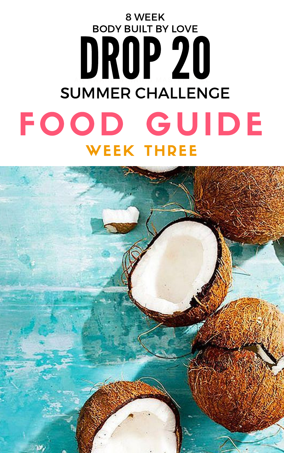

# AN AWARD-WINNING MASTERPIECE FOOD GUIDE BODY BUILT BY LOVE 8 WEEK BODY BUILT BY LOVE SUMMER CHALLENGE WEEK THREE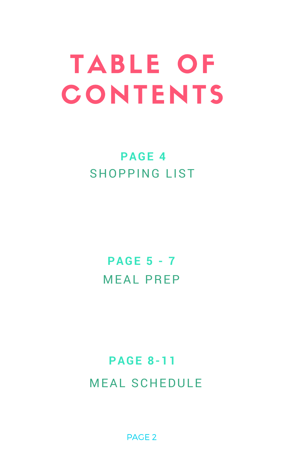# TABLE OF CONTENTS

## SHOPPING LIST **PAGE 4**

MEAL PREP **PAGE 5 - 7**

## MEAL SCHEDULE **PAGE 8-11**

PAGE 2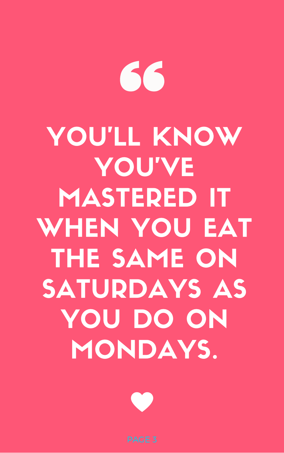# 

# YOU'LL KNOW YOU'VE MASTERED IT WHEN YOU EAT THE SAME ON SATURDAYS AS YOU DO ON MONDAYS.

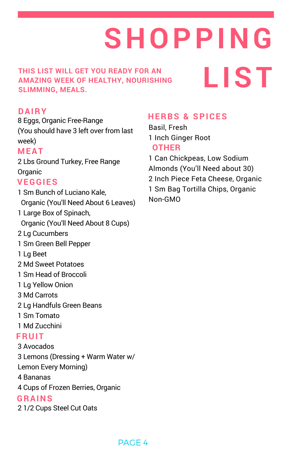8 Eggs, Organic Free-Range (You should have 3 left over from last week)

2 Lbs Ground Turkey, Free Range **Organic** 

1 Sm Bunch of Luciano Kale, Organic (You'll Need About 6 Leaves) 1 Large Box of Spinach, Organic (You'll Need About 8 Cups) 2 Lg Cucumbers

1 Sm Green Bell Pepper

1 Lg Beet

2 Md Sweet Potatoes

1 Sm Head of Broccoli

1 Lg Yellow Onion

3 Md Carrots

2 Lg Handfuls Green Beans

1 Sm Tomato

1 Md Zucchini

3 Avocados

3 Lemons (Dressing + Warm Water w/

Lemon Every Morning)

4 Bananas

4 Cups of Frozen Berries, Organic

2 1/2 Cups Steel Cut Oats

**SHOPPING**

**LIST**

**THIS LIST WILL GET YOU READY FOR AN AMAZING WEEK OF HEALTHY, NOURISHING SLIMMING, MEALS.**

### **VEGGIES**

### **FRUIT**

### **MEAT**

### **DAIRY**

- Basil, Fresh 1 Inch Ginger Root **OTHER**
- 1 Can Chickpeas, Low Sodium Almonds (You'll Need about 30) 2 Inch Piece Feta Cheese, Organic 1 Sm Bag Tortilla Chips, Organic Non-GMO

### **HERBS & SPICES**

### **GRAINS**

### PAGE 4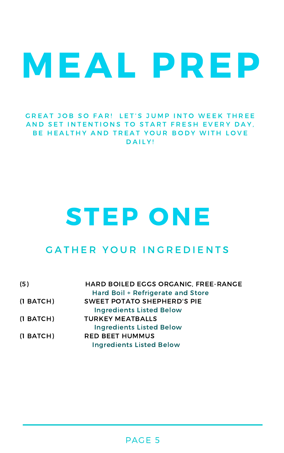# MEAL PREP

GREAT JOB SO FAR! LET'S JUMP INTO WEEK THREE AND SET INTENTIONS TO START FRESH EVERY DAY, BE HEALTHY AND TREAT YOUR BODY WITH LOVE DAILY!

| (5)            | HARD BOILED EGGS ORGANIC, FREE-RANGE |
|----------------|--------------------------------------|
|                | Hard Boil + Refrigerate and Store    |
| $(1$ BATCH $)$ | <b>SWEET POTATO SHEPHERD'S PIE</b>   |
|                | <b>Ingredients Listed Below</b>      |
| $(1$ BATCH $)$ | <b>TURKEY MEATBALLS</b>              |
|                | <b>Ingredients Listed Below</b>      |
| $(1$ BATCH $)$ | <b>RED BEET HUMMUS</b>               |
|                | <b>Ingredients Listed Below</b>      |

# STEP ONE

### GATHER YOUR INGREDIENTS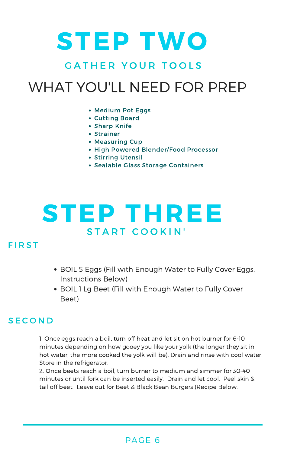## STEP THREE START COOKIN'

### **FIRST**

# STEP TWO GATHER YOUR TOOLS WHAT YOU'LL NEED FOR PREP

- Medium Pot Eggs
- Cutting Board
- **Sharp Knife**
- Strainer
- **Measuring Cup**
- High Powered Blender/Food Processor
- **Stirring Utensil**
- Sealable Glass Storage Containers

- BOIL 5 Eggs (Fill with Enough Water to Fully Cover Eggs, Instructions Below)
- BOIL 1 Lg Beet (Fill with Enough Water to Fully Cover Beet)

### **SECOND**

1. Once eggs reach a boil, turn off heat and let sit on hot burner for 6-10 minutes depending on how gooey you like your yolk (the longer they sit in hot water, the more cooked the yolk will be). Drain and rinse with cool water. Store in the refrigerator.

2. Once beets reach a boil, turn burner to medium and simmer for 30-40 minutes or until fork can be inserted easily. Drain and let cool. Peel skin & tail off beet. Leave out for Beet & Black Bean Burgers (Recipe Below.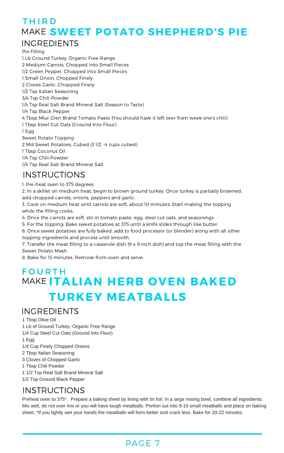### PAGE 7

### INGREDIENTS

### INSTRUCTIONS

Pie Filling

1 Lb Ground Turkey, Organic Free-Range

2 Medium Carrots, Chopped into Small Pieces

1/2 Green Pepper, Chopped into Small Pieces

1 Small Onion, Chopped Finely

2 Cloves Garlic, Chopped Finely

1/2 Tsp Italian Seasoning

3/4 Tsp Chili Powder

1/4 Tsp Real Salt Brand Mineral Salt (Season to Taste)

1/4 Tsp Black Pepper

4 Tbsp Miur Glen Brand Tomato Paste (You should have it left over from week one's chili)

1 Tbsp Steel Cut Oats (Ground Into Flour)

1 Egg

Sweet Potato Topping

2 Md Sweet Potatoes, Cubed (3 1/2 -4 cups cubed)

1 Tbsp Coconut Oil

1/4 Tsp Chili Powder

1/4 Tsp Real Salt Brand Mineral Salt

1. Pre-heat oven to 375 degrees.

2. In a skillet on medium heat, begin to brown ground turkey. Once turkey is partially browned, add chopped carrots, onions, peppers and garlic.

Preheat oven to 375°. Prepare a baking sheet by lining with tin foil. In a large mixing bowl, combine all ingredients. Mix well, do not over mix or you will have tough meatballs. Portion out into 910 small meatballs and place on baking sheet. \*If you lightly wet your hands the meatballs will form better and crack less. Bake for 20-22 minutes.

3. Cook on medium heat until carrots are soft, about 10 minutes. Start making the topping while the filling cooks.

4. Once the carrots are soft, stir in tomato paste, egg, steel cut oats, and seasonings.

### **FOURTH** MAKE ITALIAN HERB OVEN BAKED TURKEY MEATBALLS

### **THIRD** MAKE SWEET POTATO SHEPHERD'S PIE INGREDIENTS

5. For the topping: Bake sweet potatoes at 375 until a knife slides through like butter.

6. Once sweet potatoes are fully baked, add to food processor (or blender) along with all other topping ingredients and process until smooth.

7. Transfer the meat filling to a casserole dish (9 x 9 inch dish) and top the meat filling with the Sweet Potato Mash.

8. Bake for 15 minutes. Remove from oven and serve.

1 Tbsp Olive Oil 1 Lb of Ground Turkey, Organic Free Range 1/4 Cup Steel Cut Oats (Ground Into Flour) 1 Egg 1/4 Cup Finely Chopped Onions 2 Tbsp Italian Seasoning 3 Cloves of Chopped Garlic 1 Tbsp Chili Powder 1 1/2 Tsp Real Salt Brand Mineral Salt 1/2 Tsp Ground Black Pepper

### INSTRUCTIONS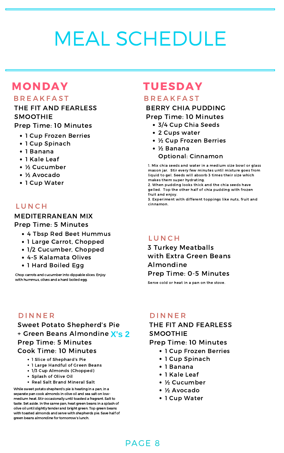### PAGE 8

### MONDAY

### **B R E A K F A S T**

# MEAL SCHEDULE

### TUESDAY

### **B R E A K F A S T**

- 3/4 Cup Chia Seeds
- 2 Cups water
- ½ Cup Frozen Berries
- ½ Banana Optional: Cinnamon

### THE FIT AND FEARLESS SMOOTHIE Prep Time: 10 Minutes

- 1 Cup Frozen Berries
- 1 Cup Spinach
- 1 Banana
- 1 Kale Leaf
- ½ Cucumber
- ½ Avocado
- 1 Cup Water

### **LUNCH**

### Sweet Potato Shepherd's Pie + Green Beans Almondine **X's 2** Prep Time: 5 Minutes Cook Time: 10 Minutes

- 1 Slice of Shephard's Pie
- 1 Large Handful of Green Beans
- 1/3 Cup Almonds (Chopped)
- Splash of Olive Oil
- Real Salt Brand Mineral Salt

### BERRY CHIA PUDDING Prep Time: 10 Minutes

### 3 Turkey Meatballs with Extra Green Beans Almondine Prep Time: 0-5 Minutes

- 1 Large Carrot, Chopped
- 1/2 Cucumber, Chopped
- 4-5 Kalamata Olives
- 1 Hard Boiled Egg

1. Mix chia seeds and water in a medium size bowl or glass mason jar. Stir every few minutes until mixture goes from liquid to gel. Seeds will absorb 3 times their size which makes them super hydrating.

Chop carrots and cucumber into dippable slices. Enjoy with hummus, olives and a hard boiled egg.

2. When pudding looks thick and the chia seeds have gelled. Top the other half of chia pudding with frozen fruit and enjoy.

3. Experiment with different toppings like nuts, fruit and cinnamon.

**LUNCH** 

While sweet potato shepherd's pie is heating in a pan, in a separate pan cook almonds in olive oil and sea salt on lowmedium heat. Stir occasionally until toasted a fragrant. Salt to taste. Set aside. In the same pan, heat green beans in a splash of olive oil until slightly tender and bright green. Top green beans with toasted almonds and serve with shepherds pie. Save half of green beans almondine for tomorrow's lunch.

### MEDITERRANEAN MIX Prep Time: 5 Minutes

- 4 Tbsp Red Beet Hummus
- 

Serve cold or heat in a pan on the stove.

### D I N N E R D I N N E R

### THE FIT AND FEARLESS SMOOTHIE

Prep Time: 10 Minutes

- 1 Cup Frozen Berries
- 1 Cup Spinach
- 1 Banana
- 1 Kale Leaf
- ½ Cucumber
- ½ Avocado
- 1 Cup Water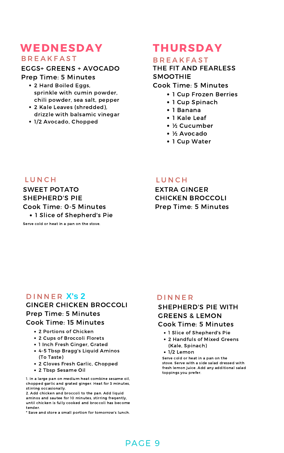### GINGER CHICKEN BROCCOLI Prep Time: 5 Minutes Cook Time: 15 Minutes

### PAGE 9

## WEDNESDAY

### **B R E A K F A S T**

- 1 Cup Frozen Berries
- 1 Cup Spinach
- 1 Banana
- 1 Kale Leaf
- ½ Cucumber
- ½ Avocado
- 1 Cup Water

- 2 Portions of Chicken
- 2 Cups of Broccoli Florets
- 1 Inch Fresh Ginger, Grated
- 4-5 Tbsp Bragg's Liquid Aminos (To Taste)
- 2 Cloves Fresh Garlic, Chopped
- 2 Tbsp Sesame Oil

### THURSDAY

### **B R E A K F A S T**

THE FIT AND FEARLESS SMOOTHIE Cook Time: 5 Minutes

- 1 Slice of Shepherd's Pie
- 2 Handfuls of Mixed Greens (Kale, Spinach)
- 1/2 Lemon

EXTRA GINGER CHICKEN BROCCOLI Prep Time: 5 Minutes

### D I N N E R X's 2 D I N N E R

- 2 Hard Boiled Eggs, sprinkle with cumin powder, chili powder, sea salt, pepper
- 2 Kale Leaves (shredded), drizzle with balsamic vinegar
- 1/2 Avocado, Chopped

1. In a large pan on medium heat combine sesame oil, chopped garlic and grated ginger. Heat for 3 minutes, stirring occasionally.

2. Add chicken and broccoli to the pan. Add liquid aminos and sautee for 10 minutes, stirring freqently, until chicken is fully cooked and broccoli has become tender.

\* Save and store a small portion for tomorrow's lunch.

### SHEPHERD'S PIE WITH GREENS & LEMON Cook Time: 5 Minutes

### EGGS+ GREENS + AVOCADO

Prep Time: 5 Minutes

### SWEET POTATO SHEPHERD'S PIE Cook Time: 0-5 Minutes

• 1 Slice of Shepherd's Pie

### Serve cold or heat in a pan on the stove.

### L U N C H L U N C H

Serve cold or heat in a pan on the stove. Serve with a side salad dressed with fresh lemon juice. Add any additional salad toppings you prefer.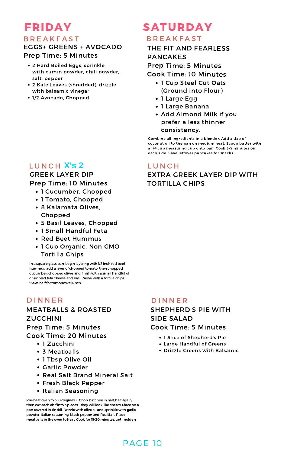### PAGE 10

## SATURDAY

### **B R E A K F A S T**

- 1 Cucumber, Chopped
- 1 Tomato, Chopped
- 8 Kalamata Olives, Chopped
- 5 Basil Leaves, Chopped
- 1 Small Handful Feta
- Red Beet Hummus

### • 1 Cup Organic, Non GMO Tortilla Chips

### D I N N E R D I N N E R SHEPHERD'S PIE WITH SIDE SALAD Cook Time: 5 Minutes

- 1 Slice of Shepherd's Pie
- Large Handful of Greens
- Drizzle Greens with Balsamic
- 1 Cup Steel Cut Oats (Ground into Flour)
- 1 Large Egg
- 1 Large Banana
- Add Almond Milk if you prefer a less thinner consistency.

### GREEK LAYER DIP Prep Time: 10 Minutes

### MEATBALLS & ROASTED ZUCCHINI Prep Time: 5 Minutes Cook Time: 20 Minutes

- 1 Zucchini
- 3 Meatballs
- 1 Tbsp Olive Oil
- Garlic Powder
- Real Salt Brand Mineral Salt
- Fresh Black Pepper
- Italian Seasoning

### FRIDAY **B R E A K F A S T** EGGS+ GREENS + AVOCADO Prep Time: 5 Minutes

THE FIT AND FEARLESS PANCAKES

Prep Time: 5 Minutes

Cook Time: 10 Minutes

Combine all ingredients in a blender. Add a dab of coconut oil to the pan on medium heat. Scoop batter with a 1/4 cup measuring cup onto pan. Cook 3-5 minutes on each side. Save leftover pancakes for snacks.

Pre-heat oven to 350 degrees F. Chop zucchini in half, half again, then cut each ahlf into 3 pieces - they will look like spears. Place on a pan covered in tin foil. Drizzle with olive oil and sprinkle with garlic powder, italian seasoning, black pepper and Real Salt. Place meatballs in the oven to heat. Cook for15-20 minutes, until golden.

- 2 Hard Boiled Eggs, sprinkle with cumin powder, chili powder, salt, pepper
- 2 Kale Leaves (shredded), drizzle with balsamic vinegar
- 1/2 Avocado, Chopped

### LUNCH X's 2 LUNCH

### EXTRA GREEK LAYER DIP WITH TORTILLA CHIPS

In a square glass pan, begin layering with 1/2 inch red beet hummus, add a layer of chopped tomato, then chopped cucumber, chopped olives and finish with a small handful of crumbled feta cheese and basil. Serve with a tortilla chips. \*Save half for tomorrow's lunch.